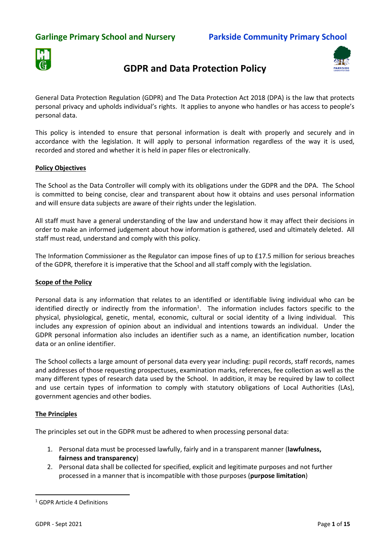## **Garlinge Primary School and Nursery Parkside Community Primary School**



# **GDPR and Data Protection Policy**



General Data Protection Regulation (GDPR) and The Data Protection Act 2018 (DPA) is the law that protects personal privacy and upholds individual's rights. It applies to anyone who handles or has access to people's personal data.

This policy is intended to ensure that personal information is dealt with properly and securely and in accordance with the legislation. It will apply to personal information regardless of the way it is used, recorded and stored and whether it is held in paper files or electronically.

#### **Policy Objectives**

The School as the Data Controller will comply with its obligations under the GDPR and the DPA. The School is committed to being concise, clear and transparent about how it obtains and uses personal information and will ensure data subjects are aware of their rights under the legislation.

All staff must have a general understanding of the law and understand how it may affect their decisions in order to make an informed judgement about how information is gathered, used and ultimately deleted. All staff must read, understand and comply with this policy.

The Information Commissioner as the Regulator can impose fines of up to £17.5 million for serious breaches of the GDPR, therefore it is imperative that the School and all staff comply with the legislation.

#### **Scope of the Policy**

Personal data is any information that relates to an identified or identifiable living individual who can be identified directly or indirectly from the information<sup>1</sup>. The information includes factors specific to the physical, physiological, genetic, mental, economic, cultural or social identity of a living individual. This includes any expression of opinion about an individual and intentions towards an individual. Under the GDPR personal information also includes an identifier such as a name, an identification number, location data or an online identifier.

The School collects a large amount of personal data every year including: pupil records, staff records, names and addresses of those requesting prospectuses, examination marks, references, fee collection as well as the many different types of research data used by the School. In addition, it may be required by law to collect and use certain types of information to comply with statutory obligations of Local Authorities (LAs), government agencies and other bodies.

#### **The Principles**

The principles set out in the GDPR must be adhered to when processing personal data:

- 1. Personal data must be processed lawfully, fairly and in a transparent manner (**lawfulness, fairness and transparency**)
- 2. Personal data shall be collected for specified, explicit and legitimate purposes and not further processed in a manner that is incompatible with those purposes (**purpose limitation**)

1

<sup>1</sup> GDPR Article 4 Definitions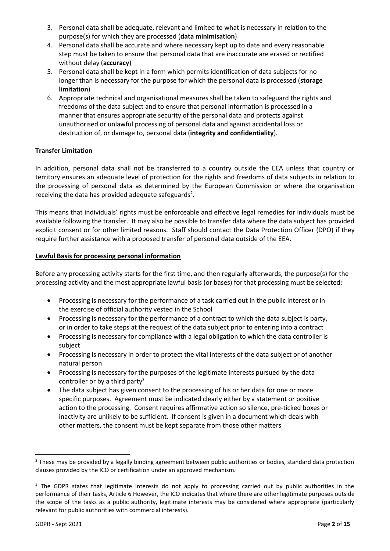- 3. Personal data shall be adequate, relevant and limited to what is necessary in relation to the purpose(s) for which they are processed (**data minimisation**)
- 4. Personal data shall be accurate and where necessary kept up to date and every reasonable step must be taken to ensure that personal data that are inaccurate are erased or rectified without delay (**accuracy**)
- 5. Personal data shall be kept in a form which permits identification of data subjects for no longer than is necessary for the purpose for which the personal data is processed (**storage limitation**)
- 6. Appropriate technical and organisational measures shall be taken to safeguard the rights and freedoms of the data subject and to ensure that personal information is processed in a manner that ensures appropriate security of the personal data and protects against unauthorised or unlawful processing of personal data and against accidental loss or destruction of, or damage to, personal data (**integrity and confidentiality**).

#### **Transfer Limitation**

In addition, personal data shall not be transferred to a country outside the EEA unless that country or territory ensures an adequate level of protection for the rights and freedoms of data subjects in relation to the processing of personal data as determined by the European Commission or where the organisation receiving the data has provided adequate safeguards<sup>2</sup>.

This means that individuals' rights must be enforceable and effective legal remedies for individuals must be available following the transfer. It may also be possible to transfer data where the data subject has provided explicit consent or for other limited reasons. Staff should contact the Data Protection Officer (DPO) if they require further assistance with a proposed transfer of personal data outside of the EEA.

#### **Lawful Basis for processing personal information**

Before any processing activity starts for the first time, and then regularly afterwards, the purpose(s) for the processing activity and the most appropriate lawful basis (or bases) for that processing must be selected:

- Processing is necessary for the performance of a task carried out in the public interest or in the exercise of official authority vested in the School
- Processing is necessary for the performance of a contract to which the data subject is party, or in order to take steps at the request of the data subject prior to entering into a contract
- Processing is necessary for compliance with a legal obligation to which the data controller is subject
- Processing is necessary in order to protect the vital interests of the data subject or of another natural person
- Processing is necessary for the purposes of the legitimate interests pursued by the data controller or by a third party<sup>3</sup>
- The data subject has given consent to the processing of his or her data for one or more specific purposes. Agreement must be indicated clearly either by a statement or positive action to the processing. Consent requires affirmative action so silence, pre-ticked boxes or inactivity are unlikely to be sufficient. If consent is given in a document which deals with other matters, the consent must be kept separate from those other matters

<u>.</u>

<sup>&</sup>lt;sup>2</sup> These may be provided by a legally binding agreement between public authorities or bodies, standard data protection clauses provided by the ICO or certification under an approved mechanism.

<sup>&</sup>lt;sup>3</sup> The GDPR states that legitimate interests do not apply to processing carried out by public authorities in the performance of their tasks, Article 6 However, the ICO indicates that where there are other legitimate purposes outside the scope of the tasks as a public authority, legitimate interests may be considered where appropriate (particularly relevant for public authorities with commercial interests).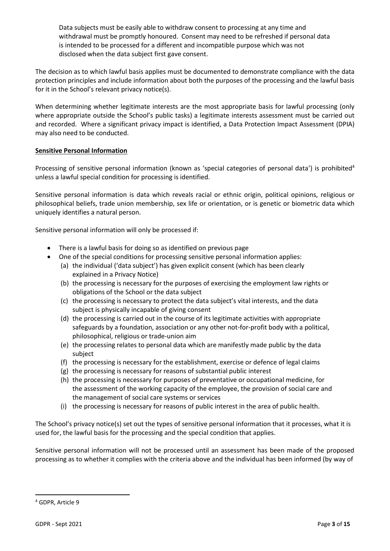Data subjects must be easily able to withdraw consent to processing at any time and withdrawal must be promptly honoured. Consent may need to be refreshed if personal data is intended to be processed for a different and incompatible purpose which was not disclosed when the data subject first gave consent.

The decision as to which lawful basis applies must be documented to demonstrate compliance with the data protection principles and include information about both the purposes of the processing and the lawful basis for it in the School's relevant privacy notice(s).

When determining whether legitimate interests are the most appropriate basis for lawful processing (only where appropriate outside the School's public tasks) a legitimate interests assessment must be carried out and recorded. Where a significant privacy impact is identified, a Data Protection Impact Assessment (DPIA) may also need to be conducted.

#### **Sensitive Personal Information**

Processing of sensitive personal information (known as 'special categories of personal data') is prohibited<sup>4</sup> unless a lawful special condition for processing is identified.

Sensitive personal information is data which reveals racial or ethnic origin, political opinions, religious or philosophical beliefs, trade union membership, sex life or orientation, or is genetic or biometric data which uniquely identifies a natural person.

Sensitive personal information will only be processed if:

- There is a lawful basis for doing so as identified on previous page
- One of the special conditions for processing sensitive personal information applies:
	- (a) the individual ('data subject') has given explicit consent (which has been clearly explained in a Privacy Notice)
	- (b) the processing is necessary for the purposes of exercising the employment law rights or obligations of the School or the data subject
	- (c) the processing is necessary to protect the data subject's vital interests, and the data subject is physically incapable of giving consent
	- (d) the processing is carried out in the course of its legitimate activities with appropriate safeguards by a foundation, association or any other not-for-profit body with a political, philosophical, religious or trade-union aim
	- (e) the processing relates to personal data which are manifestly made public by the data subject
	- (f) the processing is necessary for the establishment, exercise or defence of legal claims
	- (g) the processing is necessary for reasons of substantial public interest
	- (h) the processing is necessary for purposes of preventative or occupational medicine, for the assessment of the working capacity of the employee, the provision of social care and the management of social care systems or services
	- (i) the processing is necessary for reasons of public interest in the area of public health.

The School's privacy notice(s) set out the types of sensitive personal information that it processes, what it is used for, the lawful basis for the processing and the special condition that applies.

Sensitive personal information will not be processed until an assessment has been made of the proposed processing as to whether it complies with the criteria above and the individual has been informed (by way of

1

<sup>4</sup> GDPR, Article 9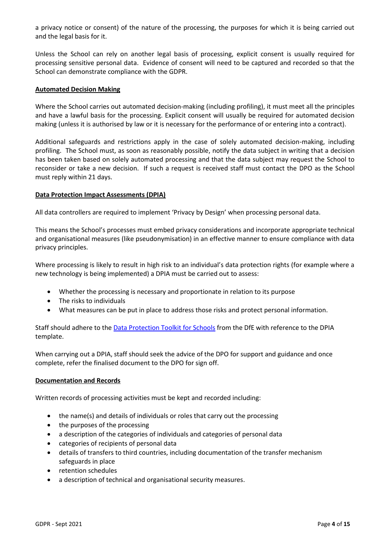a privacy notice or consent) of the nature of the processing, the purposes for which it is being carried out and the legal basis for it.

Unless the School can rely on another legal basis of processing, explicit consent is usually required for processing sensitive personal data. Evidence of consent will need to be captured and recorded so that the School can demonstrate compliance with the GDPR.

#### **Automated Decision Making**

Where the School carries out automated decision-making (including profiling), it must meet all the principles and have a lawful basis for the processing. Explicit consent will usually be required for automated decision making (unless it is authorised by law or it is necessary for the performance of or entering into a contract).

Additional safeguards and restrictions apply in the case of solely automated decision-making, including profiling. The School must, as soon as reasonably possible, notify the data subject in writing that a decision has been taken based on solely automated processing and that the data subject may request the School to reconsider or take a new decision. If such a request is received staff must contact the DPO as the School must reply within 21 days.

#### **Data Protection Impact Assessments (DPIA)**

All data controllers are required to implement 'Privacy by Design' when processing personal data.

This means the School's processes must embed privacy considerations and incorporate appropriate technical and organisational measures (like pseudonymisation) in an effective manner to ensure compliance with data privacy principles.

Where processing is likely to result in high risk to an individual's data protection rights (for example where a new technology is being implemented) a DPIA must be carried out to assess:

- Whether the processing is necessary and proportionate in relation to its purpose
- The risks to individuals
- What measures can be put in place to address those risks and protect personal information.

Staff should adhere to the [Data Protection Toolkit for Schools](https://assets.publishing.service.gov.uk/government/uploads/system/uploads/attachment_data/file/702325/GDPR_Toolkit_for_Schools__1_.pdf) from the DfE with reference to the DPIA template.

When carrying out a DPIA, staff should seek the advice of the DPO for support and guidance and once complete, refer the finalised document to the DPO for sign off.

#### **Documentation and Records**

Written records of processing activities must be kept and recorded including:

- the name(s) and details of individuals or roles that carry out the processing
- the purposes of the processing
- a description of the categories of individuals and categories of personal data
- categories of recipients of personal data
- details of transfers to third countries, including documentation of the transfer mechanism safeguards in place
- retention schedules
- a description of technical and organisational security measures.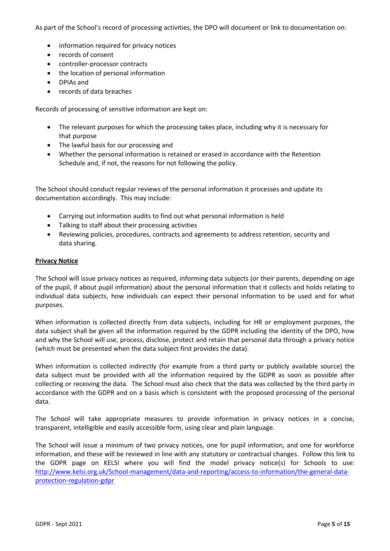As part of the School's record of processing activities, the DPO will document or link to documentation on:

- information required for privacy notices
- records of consent
- controller-processor contracts
- the location of personal information
- DPIAs and
- records of data breaches

Records of processing of sensitive information are kept on:

- The relevant purposes for which the processing takes place, including why it is necessary for that purpose
- The lawful basis for our processing and
- Whether the personal information is retained or erased in accordance with the Retention Schedule and, if not, the reasons for not following the policy.

The School should conduct regular reviews of the personal information it processes and update its documentation accordingly. This may include:

- Carrying out information audits to find out what personal information is held
- Talking to staff about their processing activities
- Reviewing policies, procedures, contracts and agreements to address retention, security and data sharing.

#### **Privacy Notice**

The School will issue privacy notices as required, informing data subjects (or their parents, depending on age of the pupil, if about pupil information) about the personal information that it collects and holds relating to individual data subjects, how individuals can expect their personal information to be used and for what purposes.

When information is collected directly from data subjects, including for HR or employment purposes, the data subject shall be given all the information required by the GDPR including the identity of the DPO, how and why the School will use, process, disclose, protect and retain that personal data through a privacy notice (which must be presented when the data subject first provides the data).

When information is collected indirectly (for example from a third party or publicly available source) the data subject must be provided with all the information required by the GDPR as soon as possible after collecting or receiving the data. The School must also check that the data was collected by the third party in accordance with the GDPR and on a basis which is consistent with the proposed processing of the personal data.

The School will take appropriate measures to provide information in privacy notices in a concise, transparent, intelligible and easily accessible form, using clear and plain language.

The School will issue a minimum of two privacy notices, one for pupil information, and one for workforce information, and these will be reviewed in line with any statutory or contractual changes. Follow this link to the GDPR page on KELSI where you will find the model privacy notice(s) for Schools to use: [http://www.kelsi.org.uk/School-management/data-and-reporting/access-to-information/the-general-data](http://www.kelsi.org.uk/school-management/data-and-reporting/access-to-information/the-general-data-protection-regulation-gdpr)[protection-regulation-gdpr](http://www.kelsi.org.uk/school-management/data-and-reporting/access-to-information/the-general-data-protection-regulation-gdpr)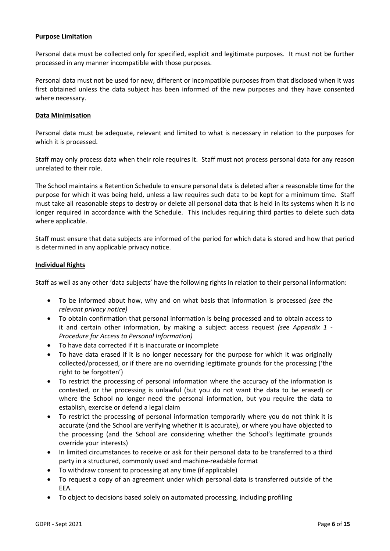#### **Purpose Limitation**

Personal data must be collected only for specified, explicit and legitimate purposes. It must not be further processed in any manner incompatible with those purposes.

Personal data must not be used for new, different or incompatible purposes from that disclosed when it was first obtained unless the data subject has been informed of the new purposes and they have consented where necessary.

#### **Data Minimisation**

Personal data must be adequate, relevant and limited to what is necessary in relation to the purposes for which it is processed.

Staff may only process data when their role requires it. Staff must not process personal data for any reason unrelated to their role.

The School maintains a Retention Schedule to ensure personal data is deleted after a reasonable time for the purpose for which it was being held, unless a law requires such data to be kept for a minimum time. Staff must take all reasonable steps to destroy or delete all personal data that is held in its systems when it is no longer required in accordance with the Schedule. This includes requiring third parties to delete such data where applicable.

Staff must ensure that data subjects are informed of the period for which data is stored and how that period is determined in any applicable privacy notice.

#### **Individual Rights**

Staff as well as any other 'data subjects' have the following rights in relation to their personal information:

- To be informed about how, why and on what basis that information is processed *(see the relevant privacy notice)*
- To obtain confirmation that personal information is being processed and to obtain access to it and certain other information, by making a subject access request *(see Appendix 1 - Procedure for Access to Personal Information)*
- To have data corrected if it is inaccurate or incomplete
- To have data erased if it is no longer necessary for the purpose for which it was originally collected/processed, or if there are no overriding legitimate grounds for the processing ('the right to be forgotten')
- To restrict the processing of personal information where the accuracy of the information is contested, or the processing is unlawful (but you do not want the data to be erased) or where the School no longer need the personal information, but you require the data to establish, exercise or defend a legal claim
- To restrict the processing of personal information temporarily where you do not think it is accurate (and the School are verifying whether it is accurate), or where you have objected to the processing (and the School are considering whether the School's legitimate grounds override your interests)
- In limited circumstances to receive or ask for their personal data to be transferred to a third party in a structured, commonly used and machine-readable format
- To withdraw consent to processing at any time (if applicable)
- To request a copy of an agreement under which personal data is transferred outside of the EEA.
- To object to decisions based solely on automated processing, including profiling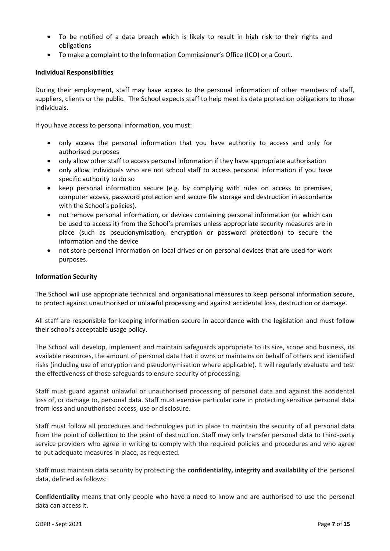- To be notified of a data breach which is likely to result in high risk to their rights and obligations
- To make a complaint to the Information Commissioner's Office (ICO) or a Court.

#### **Individual Responsibilities**

During their employment, staff may have access to the personal information of other members of staff, suppliers, clients or the public. The School expects staff to help meet its data protection obligations to those individuals.

If you have access to personal information, you must:

- only access the personal information that you have authority to access and only for authorised purposes
- only allow other staff to access personal information if they have appropriate authorisation
- only allow individuals who are not school staff to access personal information if you have specific authority to do so
- keep personal information secure (e.g. by complying with rules on access to premises, computer access, password protection and secure file storage and destruction in accordance with the School's policies).
- not remove personal information, or devices containing personal information (or which can be used to access it) from the School's premises unless appropriate security measures are in place (such as pseudonymisation, encryption or password protection) to secure the information and the device
- not store personal information on local drives or on personal devices that are used for work purposes.

#### **Information Security**

The School will use appropriate technical and organisational measures to keep personal information secure, to protect against unauthorised or unlawful processing and against accidental loss, destruction or damage.

All staff are responsible for keeping information secure in accordance with the legislation and must follow their school's acceptable usage policy.

The School will develop, implement and maintain safeguards appropriate to its size, scope and business, its available resources, the amount of personal data that it owns or maintains on behalf of others and identified risks (including use of encryption and pseudonymisation where applicable). It will regularly evaluate and test the effectiveness of those safeguards to ensure security of processing.

Staff must guard against unlawful or unauthorised processing of personal data and against the accidental loss of, or damage to, personal data. Staff must exercise particular care in protecting sensitive personal data from loss and unauthorised access, use or disclosure.

Staff must follow all procedures and technologies put in place to maintain the security of all personal data from the point of collection to the point of destruction. Staff may only transfer personal data to third-party service providers who agree in writing to comply with the required policies and procedures and who agree to put adequate measures in place, as requested.

Staff must maintain data security by protecting the **confidentiality, integrity and availability** of the personal data, defined as follows:

**Confidentiality** means that only people who have a need to know and are authorised to use the personal data can access it.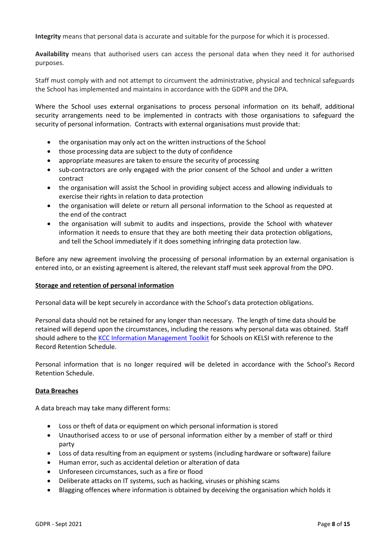**Integrity** means that personal data is accurate and suitable for the purpose for which it is processed.

**Availability** means that authorised users can access the personal data when they need it for authorised purposes.

Staff must comply with and not attempt to circumvent the administrative, physical and technical safeguards the School has implemented and maintains in accordance with the GDPR and the DPA.

Where the School uses external organisations to process personal information on its behalf, additional security arrangements need to be implemented in contracts with those organisations to safeguard the security of personal information. Contracts with external organisations must provide that:

- the organisation may only act on the written instructions of the School
- those processing data are subject to the duty of confidence
- appropriate measures are taken to ensure the security of processing
- sub-contractors are only engaged with the prior consent of the School and under a written contract
- the organisation will assist the School in providing subject access and allowing individuals to exercise their rights in relation to data protection
- the organisation will delete or return all personal information to the School as requested at the end of the contract
- the organisation will submit to audits and inspections, provide the School with whatever information it needs to ensure that they are both meeting their data protection obligations, and tell the School immediately if it does something infringing data protection law.

Before any new agreement involving the processing of personal information by an external organisation is entered into, or an existing agreement is altered, the relevant staff must seek approval from the DPO.

#### **Storage and retention of personal information**

Personal data will be kept securely in accordance with the School's data protection obligations.

Personal data should not be retained for any longer than necessary. The length of time data should be retained will depend upon the circumstances, including the reasons why personal data was obtained. Staff should adhere to the [KCC Information Management](https://www.kelsi.org.uk/news-and-events/news/primary/updated-version-of-the-information-management-toolkit-for-schools) Toolkit for Schools on KELSI with reference to the Record Retention Schedule.

Personal information that is no longer required will be deleted in accordance with the School's Record Retention Schedule.

#### **Data Breaches**

A data breach may take many different forms:

- Loss or theft of data or equipment on which personal information is stored
- Unauthorised access to or use of personal information either by a member of staff or third party
- Loss of data resulting from an equipment or systems (including hardware or software) failure
- Human error, such as accidental deletion or alteration of data
- Unforeseen circumstances, such as a fire or flood
- Deliberate attacks on IT systems, such as hacking, viruses or phishing scams
- Blagging offences where information is obtained by deceiving the organisation which holds it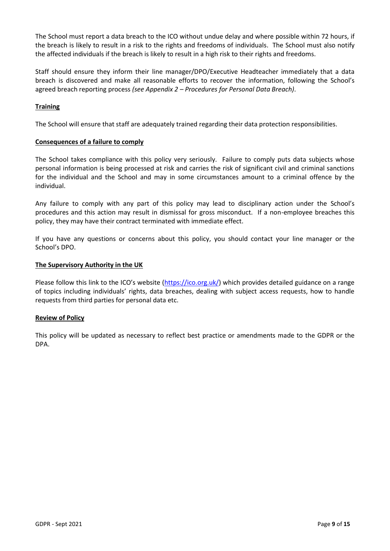The School must report a data breach to the ICO without undue delay and where possible within 72 hours, if the breach is likely to result in a risk to the rights and freedoms of individuals. The School must also notify the affected individuals if the breach is likely to result in a high risk to their rights and freedoms.

Staff should ensure they inform their line manager/DPO/Executive Headteacher immediately that a data breach is discovered and make all reasonable efforts to recover the information, following the School's agreed breach reporting process *(see Appendix 2 – Procedures for Personal Data Breach)*.

### **Training**

The School will ensure that staff are adequately trained regarding their data protection responsibilities.

#### **Consequences of a failure to comply**

The School takes compliance with this policy very seriously. Failure to comply puts data subjects whose personal information is being processed at risk and carries the risk of significant civil and criminal sanctions for the individual and the School and may in some circumstances amount to a criminal offence by the individual.

Any failure to comply with any part of this policy may lead to disciplinary action under the School's procedures and this action may result in dismissal for gross misconduct. If a non-employee breaches this policy, they may have their contract terminated with immediate effect.

If you have any questions or concerns about this policy, you should contact your line manager or the School's DPO.

#### **The Supervisory Authority in the UK**

Please follow this link to the ICO's website ([https://ico.org.uk/\)](https://ico.org.uk/) which provides detailed guidance on a range of topics including individuals' rights, data breaches, dealing with subject access requests, how to handle requests from third parties for personal data etc.

#### **Review of Policy**

This policy will be updated as necessary to reflect best practice or amendments made to the GDPR or the DPA.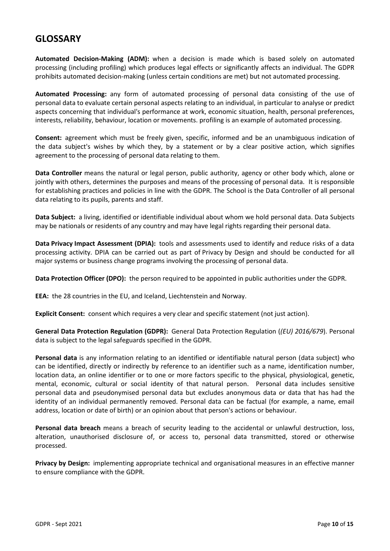# **GLOSSARY**

**Automated Decision-Making (ADM):** when a decision is made which is based solely on automated processing (including profiling) which produces legal effects or significantly affects an individual. The GDPR prohibits automated decision-making (unless certain conditions are met) but not automated processing.

**Automated Processing:** any form of automated processing of personal data consisting of the use of personal data to evaluate certain personal aspects relating to an individual, in particular to analyse or predict aspects concerning that individual's performance at work, economic situation, health, personal preferences, interests, reliability, behaviour, location or movements. profiling is an example of automated processing.

**Consent:** agreement which must be freely given, specific, informed and be an unambiguous indication of the data subject's wishes by which they, by a statement or by a clear positive action, which signifies agreement to the processing of personal data relating to them.

**Data Controller** means the natural or legal person, public authority, agency or other body which, alone or jointly with others, determines the purposes and means of the processing of personal data. It is responsible for establishing practices and policies in line with the GDPR. The School is the Data Controller of all personal data relating to its pupils, parents and staff.

**Data Subject:** a living, identified or identifiable individual about whom we hold personal data. Data Subjects may be nationals or residents of any country and may have legal rights regarding their personal data.

**Data Privacy Impact Assessment (DPIA):** tools and assessments used to identify and reduce risks of a data processing activity. DPIA can be carried out as part of Privacy by Design and should be conducted for all major systems or business change programs involving the processing of personal data.

**Data Protection Officer (DPO):** the person required to be appointed in public authorities under the GDPR.

**EEA:** the 28 countries in the EU, and Iceland, Liechtenstein and Norway.

**Explicit Consent:** consent which requires a very clear and specific statement (not just action).

**General Data Protection Regulation (GDPR):** General Data Protection Regulation (*(EU) 2016/679*). Personal data is subject to the legal safeguards specified in the GDPR.

**Personal data** is any information relating to an identified or identifiable natural person (data subject) who can be identified, directly or indirectly by reference to an identifier such as a name, identification number, location data, an online identifier or to one or more factors specific to the physical, physiological, genetic, mental, economic, cultural or social identity of that natural person. Personal data includes sensitive personal data and pseudonymised personal data but excludes anonymous data or data that has had the identity of an individual permanently removed. Personal data can be factual (for example, a name, email address, location or date of birth) or an opinion about that person's actions or behaviour.

**Personal data breach** means a breach of security leading to the accidental or unlawful destruction, loss, alteration, unauthorised disclosure of, or access to, personal data transmitted, stored or otherwise processed.

**Privacy by Design:** implementing appropriate technical and organisational measures in an effective manner to ensure compliance with the GDPR.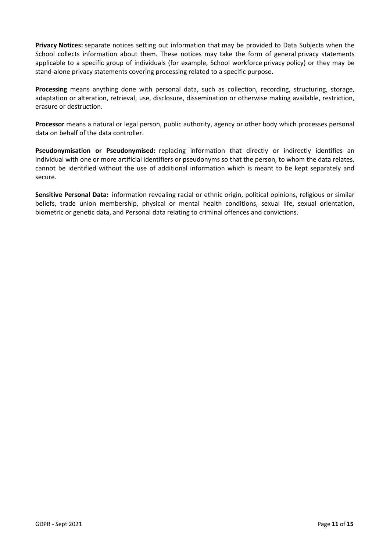**Privacy Notices:** separate notices setting out information that may be provided to Data Subjects when the School collects information about them. These notices may take the form of general privacy statements applicable to a specific group of individuals (for example, School workforce privacy policy) or they may be stand-alone privacy statements covering processing related to a specific purpose.

**Processing** means anything done with personal data, such as collection, recording, structuring, storage, adaptation or alteration, retrieval, use, disclosure, dissemination or otherwise making available, restriction, erasure or destruction.

**Processor** means a natural or legal person, public authority, agency or other body which processes personal data on behalf of the data controller.

**Pseudonymisation or Pseudonymised:** replacing information that directly or indirectly identifies an individual with one or more artificial identifiers or pseudonyms so that the person, to whom the data relates, cannot be identified without the use of additional information which is meant to be kept separately and secure.

**Sensitive Personal Data:** information revealing racial or ethnic origin, political opinions, religious or similar beliefs, trade union membership, physical or mental health conditions, sexual life, sexual orientation, biometric or genetic data, and Personal data relating to criminal offences and convictions.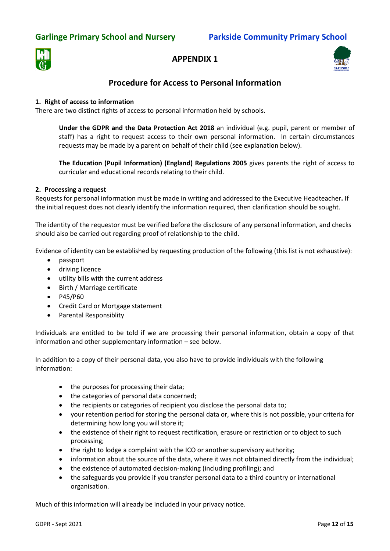# **Garlinge Primary School and Nursery Parkside Community Primary School**



## **APPENDIX 1**



# **Procedure for Access to Personal Information**

#### **1. Right of access to information**

There are two distinct rights of access to personal information held by schools.

**Under the GDPR and the Data Protection Act 2018** an individual (e.g. pupil, parent or member of staff) has a right to request access to their own personal information. In certain circumstances requests may be made by a parent on behalf of their child (see explanation below).

**The Education (Pupil Information) (England) Regulations 2005** gives parents the right of access to curricular and educational records relating to their child.

#### **2. Processing a request**

Requests for personal information must be made in writing and addressed to the Executive Headteacher**.** If the initial request does not clearly identify the information required, then clarification should be sought.

The identity of the requestor must be verified before the disclosure of any personal information, and checks should also be carried out regarding proof of relationship to the child.

Evidence of identity can be established by requesting production of the following (this list is not exhaustive):

- passport
- driving licence
- utility bills with the current address
- Birth / Marriage certificate
- P45/P60
- Credit Card or Mortgage statement
- Parental Responsiblity

Individuals are entitled to be told if we are processing their personal information, obtain a copy of that information and other supplementary information – see below.

In addition to a copy of their personal data, you also have to provide individuals with the following information:

- the purposes for processing their data;
- the categories of personal data concerned;
- the recipients or categories of recipient you disclose the personal data to;
- your retention period for storing the personal data or, where this is not possible, your criteria for determining how long you will store it;
- the existence of their right to request rectification, erasure or restriction or to object to such processing;
- the right to lodge a complaint with the ICO or another supervisory authority;
- information about the source of the data, where it was not obtained directly from the individual;
- the existence of automated decision-making (including profiling); and
- the safeguards you provide if you transfer personal data to a third country or international organisation.

Much of this information will already be included in your privacy notice.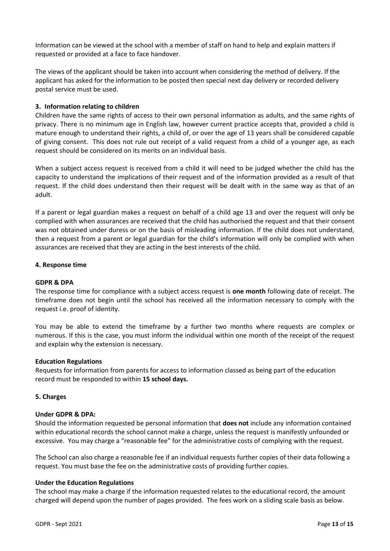Information can be viewed at the school with a member of staff on hand to help and explain matters if requested or provided at a face to face handover.

The views of the applicant should be taken into account when considering the method of delivery. If the applicant has asked for the information to be posted then special next day delivery or recorded delivery postal service must be used.

#### **3. Information relating to children**

Children have the same rights of access to their own personal information as adults, and the same rights of privacy. There is no minimum age in English law, however current practice accepts that, provided a child is mature enough to understand their rights, a child of, or over the age of 13 years shall be considered capable of giving consent. This does not rule out receipt of a valid request from a child of a younger age, as each request should be considered on its merits on an individual basis.

When a subject access request is received from a child it will need to be judged whether the child has the capacity to understand the implications of their request and of the information provided as a result of that request. If the child does understand then their request will be dealt with in the same way as that of an adult.

If a parent or legal guardian makes a request on behalf of a child age 13 and over the request will only be complied with when assurances are received that the child has authorised the request and that their consent was not obtained under duress or on the basis of misleading information. If the child does not understand, then a request from a parent or legal guardian for the child's information will only be complied with when assurances are received that they are acting in the best interests of the child.

#### **4. Response time**

#### **GDPR & DPA**

The response time for compliance with a subject access request is **one month** following date of receipt. The timeframe does not begin until the school has received all the information necessary to comply with the request i.e. proof of identity.

You may be able to extend the timeframe by a further two months where requests are complex or numerous. If this is the case, you must inform the individual within one month of the receipt of the request and explain why the extension is necessary.

#### **Education Regulations**

Requests for information from parents for access to information classed as being part of the education record must be responded to within **15 school days.**

#### **5. Charges**

#### **Under GDPR & DPA:**

Should the information requested be personal information that **does not** include any information contained within educational records the school cannot make a charge, unless the request is manifestly unfounded or excessive. You may charge a "reasonable fee" for the administrative costs of complying with the request.

The School can also charge a reasonable fee if an individual requests further copies of their data following a request. You must base the fee on the administrative costs of providing further copies.

#### **Under the Education Regulations**

The school may make a charge if the information requested relates to the educational record, the amount charged will depend upon the number of pages provided. The fees work on a sliding scale basis as below.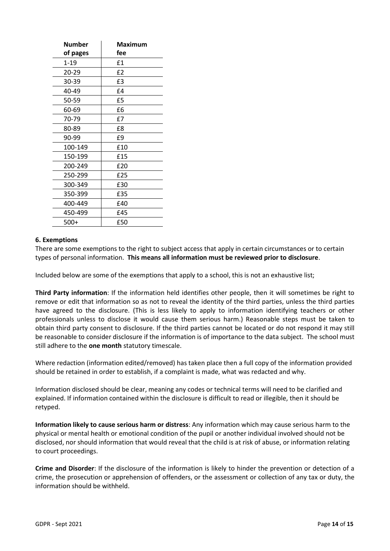| Number   | Maximum        |
|----------|----------------|
| of pages | fee            |
| $1 - 19$ | £1             |
| 20-29    | E <sub>2</sub> |
| 30-39    | £3             |
| 40-49    | £4             |
| 50-59    | £5             |
| 60-69    | £6             |
| 70-79    | £7             |
| 80-89    | £8             |
| 90-99    | £9             |
| 100-149  | £10            |
| 150-199  | £15            |
| 200-249  | £20            |
| 250-299  | £25            |
| 300-349  | £30            |
| 350-399  | £35            |
| 400-449  | £40            |
| 450-499  | £45            |
| 500+     | £50            |

#### **6. Exemptions**

There are some exemptions to the right to subject access that apply in certain circumstances or to certain types of personal information. **This means all information must be reviewed prior to disclosure**.

Included below are some of the exemptions that apply to a school, this is not an exhaustive list;

**Third Party information**: If the information held identifies other people, then it will sometimes be right to remove or edit that information so as not to reveal the identity of the third parties, unless the third parties have agreed to the disclosure. (This is less likely to apply to information identifying teachers or other professionals unless to disclose it would cause them serious harm.) Reasonable steps must be taken to obtain third party consent to disclosure. If the third parties cannot be located or do not respond it may still be reasonable to consider disclosure if the information is of importance to the data subject. The school must still adhere to the **one month** statutory timescale.

Where redaction (information edited/removed) has taken place then a full copy of the information provided should be retained in order to establish, if a complaint is made, what was redacted and why.

Information disclosed should be clear, meaning any codes or technical terms will need to be clarified and explained. If information contained within the disclosure is difficult to read or illegible, then it should be retyped.

**Information likely to cause serious harm or distress**: Any information which may cause serious harm to the physical or mental health or emotional condition of the pupil or another individual involved should not be disclosed, nor should information that would reveal that the child is at risk of abuse, or information relating to court proceedings.

**Crime and Disorder**: If the disclosure of the information is likely to hinder the prevention or detection of a crime, the prosecution or apprehension of offenders, or the assessment or collection of any tax or duty, the information should be withheld.